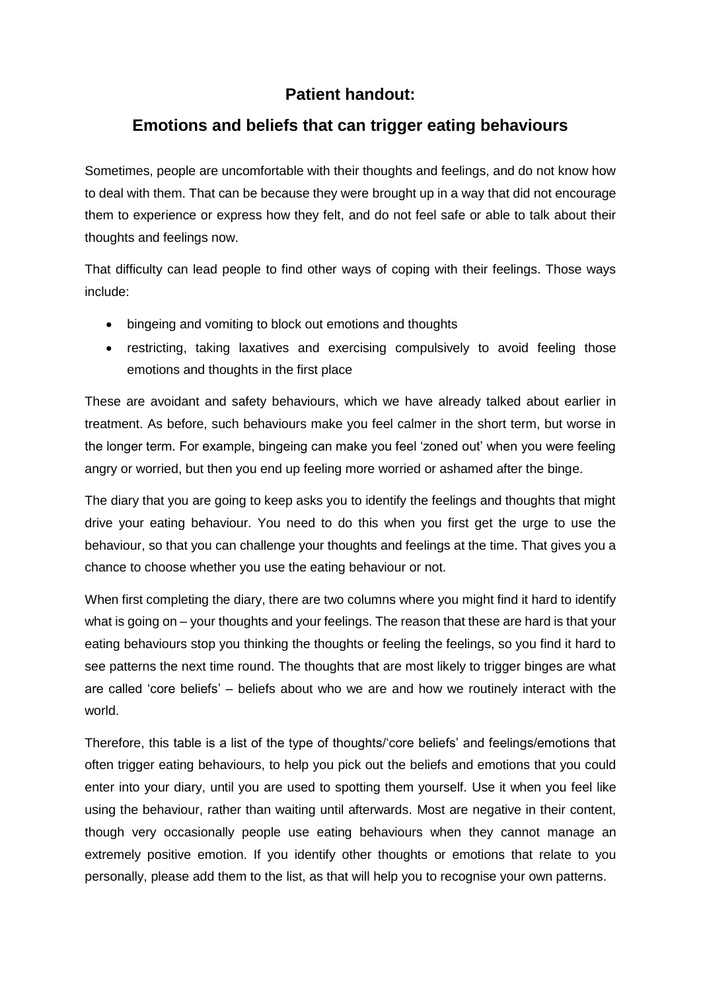## **Patient handout:**

## **Emotions and beliefs that can trigger eating behaviours**

Sometimes, people are uncomfortable with their thoughts and feelings, and do not know how to deal with them. That can be because they were brought up in a way that did not encourage them to experience or express how they felt, and do not feel safe or able to talk about their thoughts and feelings now.

That difficulty can lead people to find other ways of coping with their feelings. Those ways include:

- bingeing and vomiting to block out emotions and thoughts
- restricting, taking laxatives and exercising compulsively to avoid feeling those emotions and thoughts in the first place

These are avoidant and safety behaviours, which we have already talked about earlier in treatment. As before, such behaviours make you feel calmer in the short term, but worse in the longer term. For example, bingeing can make you feel 'zoned out' when you were feeling angry or worried, but then you end up feeling more worried or ashamed after the binge.

The diary that you are going to keep asks you to identify the feelings and thoughts that might drive your eating behaviour. You need to do this when you first get the urge to use the behaviour, so that you can challenge your thoughts and feelings at the time. That gives you a chance to choose whether you use the eating behaviour or not.

When first completing the diary, there are two columns where you might find it hard to identify what is going on – your thoughts and your feelings. The reason that these are hard is that your eating behaviours stop you thinking the thoughts or feeling the feelings, so you find it hard to see patterns the next time round. The thoughts that are most likely to trigger binges are what are called 'core beliefs' – beliefs about who we are and how we routinely interact with the world.

Therefore, this table is a list of the type of thoughts/'core beliefs' and feelings/emotions that often trigger eating behaviours, to help you pick out the beliefs and emotions that you could enter into your diary, until you are used to spotting them yourself. Use it when you feel like using the behaviour, rather than waiting until afterwards. Most are negative in their content, though very occasionally people use eating behaviours when they cannot manage an extremely positive emotion. If you identify other thoughts or emotions that relate to you personally, please add them to the list, as that will help you to recognise your own patterns.